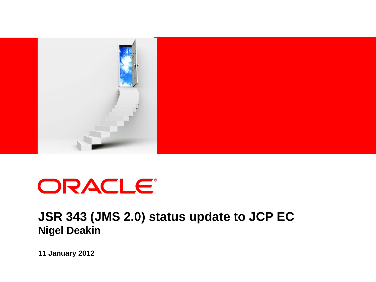

# ORACLE®

### **JSR 343 (JMS 2.0) status update to JCP EC Nigel Deakin**

**11 January 2012**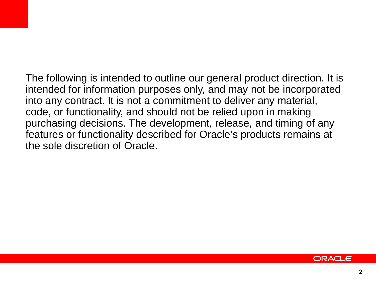The following is intended to outline our general product direction. It is intended for information purposes only, and may not be incorporated into any contract. It is not a commitment to deliver any material, code, or functionality, and should not be relied upon in making purchasing decisions. The development, release, and timing of any features or functionality described for Oracle's products remains at the sole discretion of Oracle.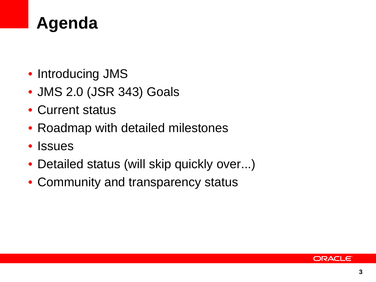

- Introducing JMS
- JMS 2.0 (JSR 343) Goals
- Current status
- Roadmap with detailed milestones
- Issues
- Detailed status (will skip quickly over...)
- Community and transparency status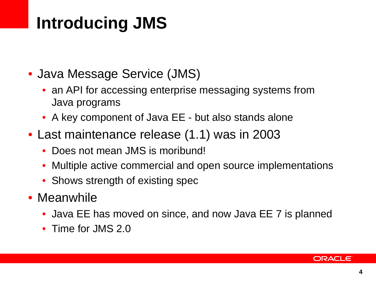## **Introducing JMS**

- Java Message Service (JMS)
	- an API for accessing enterprise messaging systems from Java programs
	- A key component of Java EE but also stands alone
- Last maintenance release (1.1) was in 2003
	- Does not mean JMS is moribund!
	- Multiple active commercial and open source implementations
	- Shows strength of existing spec
- Meanwhile
	- Java EE has moved on since, and now Java EE 7 is planned
	- Time for JMS 2.0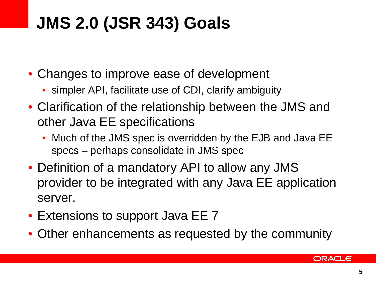# **JMS 2.0 (JSR 343) Goals**

- Changes to improve ease of development
	- simpler API, facilitate use of CDI, clarify ambiguity
- Clarification of the relationship between the JMS and other Java EE specifications
	- Much of the JMS spec is overridden by the EJB and Java EE specs – perhaps consolidate in JMS spec
- Definition of a mandatory API to allow any JMS provider to be integrated with any Java EE application server.
- Extensions to support Java EE 7
- Other enhancements as requested by the community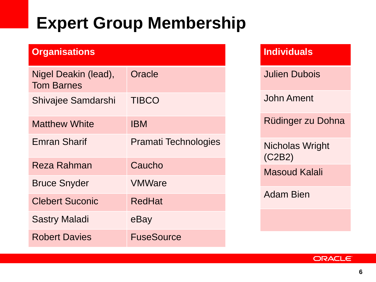## **Expert Group Membership**

| <b>Organisations</b>                      |                             |
|-------------------------------------------|-----------------------------|
| Nigel Deakin (lead),<br><b>Tom Barnes</b> | Oracle                      |
| Shivajee Samdarshi                        | <b>TIBCO</b>                |
| <b>Matthew White</b>                      | <b>IBM</b>                  |
| <b>Emran Sharif</b>                       | <b>Pramati Technologies</b> |
| Reza Rahman                               | Caucho                      |
| <b>Bruce Snyder</b>                       | <b>VMWare</b>               |
| <b>Clebert Suconic</b>                    | <b>RedHat</b>               |
| <b>Sastry Maladi</b>                      | eBay                        |
| <b>Robert Davies</b>                      | <b>FuseSource</b>           |

### **Individuals**

Julien Dubois

John Ament

Rüdinger zu Dohna

Nicholas Wright (C2B2) Masoud Kalali

Adam Bien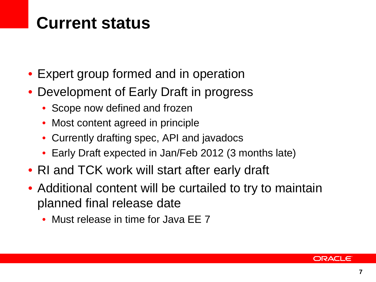## **Current status**

- Expert group formed and in operation
- Development of Early Draft in progress
	- Scope now defined and frozen
	- Most content agreed in principle
	- Currently drafting spec, API and javadocs
	- Early Draft expected in Jan/Feb 2012 (3 months late)
- RI and TCK work will start after early draft
- Additional content will be curtailed to try to maintain planned final release date
	- Must release in time for Java EE 7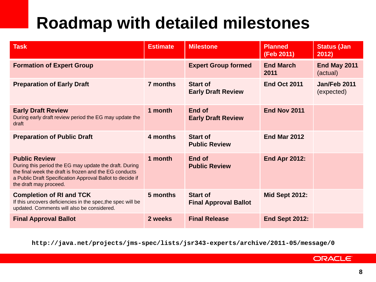# **Roadmap with detailed milestones**

| Task                                                                                                                                                                                                                            | <b>Estimate</b> | <b>Milestone</b>                                | <b>Planned</b><br>(Feb 2011) | <b>Status (Jan</b><br>2012) |
|---------------------------------------------------------------------------------------------------------------------------------------------------------------------------------------------------------------------------------|-----------------|-------------------------------------------------|------------------------------|-----------------------------|
| <b>Formation of Expert Group</b>                                                                                                                                                                                                |                 | <b>Expert Group formed</b>                      | <b>End March</b><br>2011     | End May 2011<br>(actual)    |
| <b>Preparation of Early Draft</b>                                                                                                                                                                                               | 7 months        | <b>Start of</b><br><b>Early Draft Review</b>    | <b>End Oct 2011</b>          | Jan/Feb 2011<br>(expected)  |
| <b>Early Draft Review</b><br>During early draft review period the EG may update the<br>draft                                                                                                                                    | 1 month         | End of<br><b>Early Draft Review</b>             | End Nov 2011                 |                             |
| <b>Preparation of Public Draft</b>                                                                                                                                                                                              | 4 months        | <b>Start of</b><br><b>Public Review</b>         | <b>End Mar 2012</b>          |                             |
| <b>Public Review</b><br>During this period the EG may update the draft. During<br>the final week the draft is frozen and the EG conducts<br>a Public Draft Specification Approval Ballot to decide if<br>the draft may proceed. | 1 month         | End of<br><b>Public Review</b>                  | <b>End Apr 2012:</b>         |                             |
| <b>Completion of RI and TCK</b><br>If this uncovers deficiencies in the spec, the spec will be<br>updated. Comments will also be considered.                                                                                    | 5 months        | <b>Start of</b><br><b>Final Approval Ballot</b> | <b>Mid Sept 2012:</b>        |                             |
| <b>Final Approval Ballot</b>                                                                                                                                                                                                    | 2 weeks         | <b>Final Release</b>                            | <b>End Sept 2012:</b>        |                             |

**http://java.net/projects/jms-spec/lists/jsr343-experts/archive/2011-05/message/0**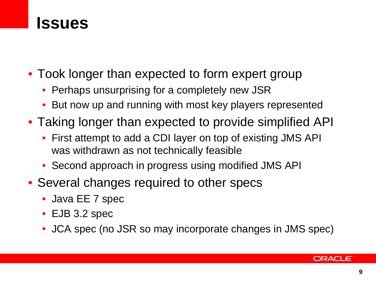### **Issues**

- Took longer than expected to form expert group
	- Perhaps unsurprising for a completely new JSR
	- But now up and running with most key players represented
- Taking longer than expected to provide simplified API
	- First attempt to add a CDI layer on top of existing JMS API was withdrawn as not technically feasible
	- Second approach in progress using modified JMS API
- Several changes required to other specs
	- Java EE 7 spec
	- EJB 3.2 spec
	- JCA spec (no JSR so may incorporate changes in JMS spec)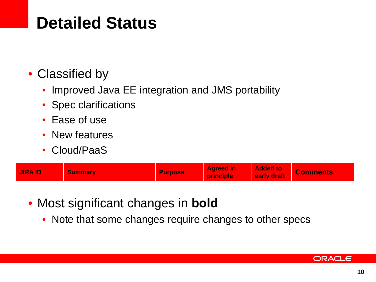## **Detailed Status**

### • Classified by

- Improved Java EE integration and JMS portability
- Spec clarifications
- Ease of use
- New features
- Cloud/PaaS

| <b>JIRA ID</b> | <b>Summary</b> | <b>Purpose</b> | <b>Agreed in</b><br>principle | <b>Added to</b><br>early draft | <b>Comments</b> |
|----------------|----------------|----------------|-------------------------------|--------------------------------|-----------------|
|----------------|----------------|----------------|-------------------------------|--------------------------------|-----------------|

- Most significant changes in **bold**
	- Note that some changes require changes to other specs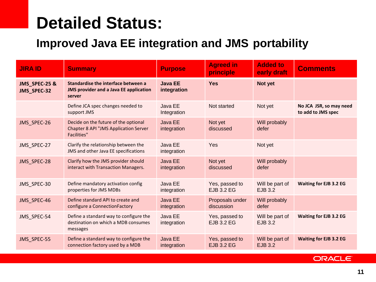### **Detailed Status:**

### **Improved Java EE integration and JMS portability**

| <b>JIRA ID</b>               | <b>Summary</b>                                                                                             | <b>Purpose</b>                | <b>Agreed in</b><br>principle       | <b>Added to</b><br>early draft    | <b>Comments</b>                               |
|------------------------------|------------------------------------------------------------------------------------------------------------|-------------------------------|-------------------------------------|-----------------------------------|-----------------------------------------------|
| JMS_SPEC-25 &<br>JMS_SPEC-32 | Standardise the interface between a<br><b>JMS provider and a Java EE application</b><br>server             | <b>Java EE</b><br>integration | <b>Yes</b>                          | Not yet                           |                                               |
|                              | Define JCA spec changes needed to<br>support JMS                                                           | Java EE<br>Integration        | Not started                         | Not yet                           | No JCA JSR, so may need<br>to add to JMS spec |
| JMS_SPEC-26                  | Decide on the future of the optional<br><b>Chapter 8 API "JMS Application Server</b><br><b>Facilities"</b> | Java EE<br>integration        | Not yet<br>discussed                | Will probably<br>defer            |                                               |
| JMS_SPEC-27                  | Clarify the relationship between the<br>JMS and other Java EE specifications                               | Java EE<br>integration        | Yes                                 | Not yet                           |                                               |
| JMS_SPEC-28                  | Clarify how the JMS provider should<br>interact with Transaction Managers.                                 | Java EE<br>integration        | Not yet<br>discussed                | Will probably<br>defer            |                                               |
| JMS_SPEC-30                  | Define mandatory activation config<br>properties for JMS MDBs                                              | Java EE<br>integration        | Yes, passed to<br><b>EJB 3.2 EG</b> | Will be part of<br>EJB 3.2        | <b>Waiting for EJB 3.2 EG</b>                 |
| JMS_SPEC-46                  | Define standard API to create and<br>configure a ConnectionFactory                                         | <b>Java EE</b><br>integration | Proposals under<br>discussion       | Will probably<br>defer            |                                               |
| JMS_SPEC-54                  | Define a standard way to configure the<br>destination on which a MDB consumes<br>messages                  | Java EE<br>integration        | Yes, passed to<br><b>EJB 3.2 EG</b> | Will be part of<br>EJB 3.2        | <b>Waiting for EJB 3.2 EG</b>                 |
| JMS SPEC-55                  | Define a standard way to configure the<br>connection factory used by a MDB                                 | Java EE<br>integration        | Yes, passed to<br><b>EJB 3.2 EG</b> | Will be part of<br><b>EJB 3.2</b> | <b>Waiting for EJB 3.2 EG</b>                 |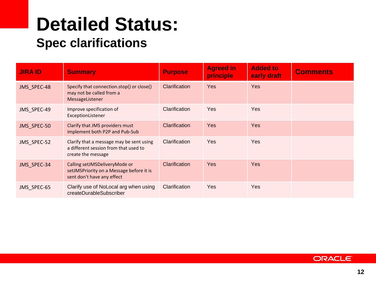# **Detailed Status:**

### **Spec clarifications**

| <b>JIRA ID</b> | <b>Summary</b>                                                                                          | <b>Purpose</b> | <b>Agreed in</b><br>principle | <b>Added to</b><br>early draft | <b>Comments</b> |
|----------------|---------------------------------------------------------------------------------------------------------|----------------|-------------------------------|--------------------------------|-----------------|
| JMS SPEC-48    | Specify that connection.stop() or close()<br>may not be called from a<br>MessageListener                | Clarification  | <b>Yes</b>                    | <b>Yes</b>                     |                 |
| JMS SPEC-49    | Improve specification of<br>ExceptionListener                                                           | Clarification  | Yes                           | <b>Yes</b>                     |                 |
| JMS SPEC-50    | Clarify that JMS providers must<br>implement both P2P and Pub-Sub                                       | Clarification  | <b>Yes</b>                    | <b>Yes</b>                     |                 |
| JMS SPEC-52    | Clarify that a message may be sent using<br>a different session from that used to<br>create the message | Clarification  | Yes                           | Yes                            |                 |
| JMS SPEC-34    | Calling setJMSDeliveryMode or<br>setJMSPriority on a Message before it is<br>sent don't have any effect | Clarification  | <b>Yes</b>                    | <b>Yes</b>                     |                 |
| JMS SPEC-65    | Clarify use of NoLocal arg when using<br>createDurableSubscriber                                        | Clarification  | Yes                           | Yes                            |                 |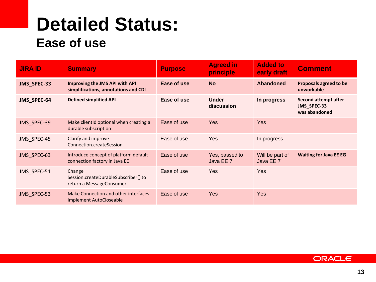### **Detailed Status: Ease of use**

| <b>JIRA ID</b> | <b>Summary</b>                                                             | <b>Purpose</b> | <b>Agreed in</b><br>principle | <b>Added to</b><br>early draft | <b>Comment</b>                                       |
|----------------|----------------------------------------------------------------------------|----------------|-------------------------------|--------------------------------|------------------------------------------------------|
| JMS_SPEC-33    | Improving the JMS API with API<br>simplifications, annotations and CDI     | Ease of use    | <b>No</b>                     | Abandoned                      | Proposals agreed to be<br>unworkable                 |
| JMS_SPEC-64    | <b>Defined simplified API</b>                                              | Ease of use    | <b>Under</b><br>discussion    | In progress                    | Second attempt after<br>JMS_SPEC-33<br>was abandoned |
| JMS_SPEC-39    | Make clientId optional when creating a<br>durable subscription             | Ease of use    | Yes                           | <b>Yes</b>                     |                                                      |
| JMS SPEC-45    | Clarify and improve<br>Connection createSession                            | Ease of use    | Yes                           | In progress                    |                                                      |
| JMS_SPEC-63    | Introduce concept of platform default<br>connection factory in Java EE     | Ease of use    | Yes, passed to<br>Java EE 7   | Will be part of<br>Java EE 7   | <b>Waiting for Java EE EG</b>                        |
| JMS SPEC-51    | Change<br>Session.createDurableSubscriber() to<br>return a MessageConsumer | Ease of use    | Yes                           | Yes                            |                                                      |
| JMS_SPEC-53    | Make Connection and other interfaces<br>implement AutoCloseable            | Ease of use    | Yes                           | <b>Yes</b>                     |                                                      |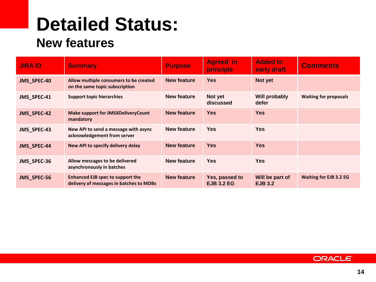# **Detailed Status:**

### **New features**

| <b>JIRA ID</b> | <b>Summary</b>                                                              | <b>Purpose</b>     | <b>Agreed</b> in<br>principle       | <b>Added to</b><br>early draft    | <b>Comments</b>               |
|----------------|-----------------------------------------------------------------------------|--------------------|-------------------------------------|-----------------------------------|-------------------------------|
| JMS_SPEC-40    | Allow multiple consumers to be created<br>on the same topic subscription    | <b>New feature</b> | <b>Yes</b>                          | Not yet                           |                               |
| JMS_SPEC-41    | <b>Support topic hierarchies</b>                                            | New feature        | Not yet<br>discussed                | Will probably<br>defer            | <b>Waiting for proposals</b>  |
| JMS_SPEC-42    | <b>Make support for JMSXDeliveryCount</b><br>mandatory                      | New feature        | <b>Yes</b>                          | <b>Yes</b>                        |                               |
| JMS_SPEC-43    | New API to send a message with async<br>acknowledgement from server         | New feature        | <b>Yes</b>                          | <b>Yes</b>                        |                               |
| JMS_SPEC-44    | New API to specify delivery delay                                           | <b>New feature</b> | <b>Yes</b>                          | <b>Yes</b>                        |                               |
| JMS_SPEC-36    | Allow messages to be delivered<br>asynchronously in batches                 | New feature        | <b>Yes</b>                          | <b>Yes</b>                        |                               |
| JMS_SPEC-56    | Enhanced EJB spec to support the<br>delivery of messages in batches to MDBs | New feature        | Yes, passed to<br><b>EJB 3.2 EG</b> | Will be part of<br><b>EJB 3.2</b> | <b>Waiting for EJB 3.2 EG</b> |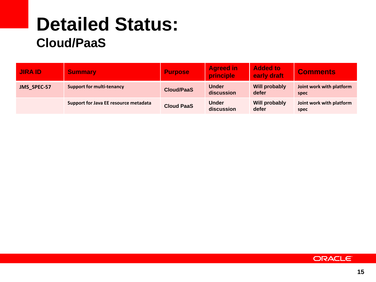### **Detailed Status: Cloud/PaaS**

| <b>JIRA ID</b> | <b>Summary</b>                        | <b>Purpose</b>    | <b>Agreed in</b><br>principle | <b>Added to</b><br>early draft | <b>Comments</b>                  |
|----------------|---------------------------------------|-------------------|-------------------------------|--------------------------------|----------------------------------|
| JMS_SPEC-57    | <b>Support for multi-tenancy</b>      | <b>Cloud/PaaS</b> | <b>Under</b><br>discussion    | <b>Will probably</b><br>defer  | Joint work with platform<br>spec |
|                | Support for Java EE resource metadata | <b>Cloud PaaS</b> | <b>Under</b><br>discussion    | Will probably<br>defer         | Joint work with platform<br>spec |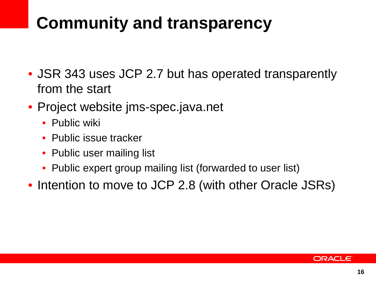## **Community and transparency**

- JSR 343 uses JCP 2.7 but has operated transparently from the start
- Project website jms-spec.java.net
	- Public wiki
	- Public issue tracker
	- Public user mailing list
	- Public expert group mailing list (forwarded to user list)
- Intention to move to JCP 2.8 (with other Oracle JSRs)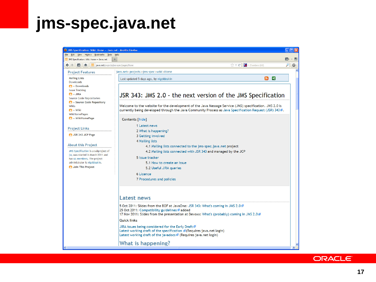### **jms-spec.java.net**

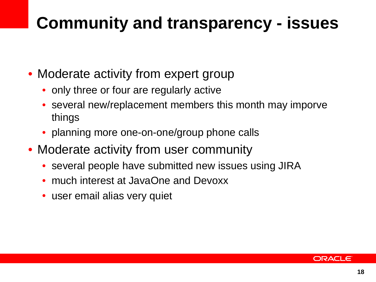## **Community and transparency - issues**

- Moderate activity from expert group
	- only three or four are regularly active
	- several new/replacement members this month may imporve things
	- planning more one-on-one/group phone calls
- Moderate activity from user community
	- several people have submitted new issues using JIRA
	- much interest at JavaOne and Devoxx
	- user email alias very quiet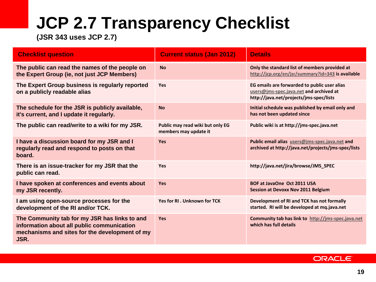# **JCP 2.7 Transparency Checklist**

**(JSR 343 uses JCP 2.7)**

| <b>Checklist question</b>                                                                                                                             | <b>Current status (Jan 2012)</b>                          | <b>Details</b>                                                                                                                     |
|-------------------------------------------------------------------------------------------------------------------------------------------------------|-----------------------------------------------------------|------------------------------------------------------------------------------------------------------------------------------------|
| The public can read the names of the people on<br>the Expert Group (ie, not just JCP Members)                                                         | <b>No</b>                                                 | Only the standard list of members provided at<br>http://jcp.org/en/jsr/summary?id=343 is available                                 |
| The Expert Group business is regularly reported<br>on a publicly readable alias                                                                       | Yes                                                       | EG emails are forwarded to public user alias<br>users@jms-spec.java.net and archived at<br>http://java.net/projects/jms-spec/lists |
| The schedule for the JSR is publicly available,<br>it's current, and I update it regularly.                                                           | <b>No</b>                                                 | Initial schedule was published by email only and<br>has not been updated since                                                     |
| The public can read/write to a wiki for my JSR.                                                                                                       | Public may read wiki but only EG<br>members may update it | Public wiki is at http://jms-spec.java.net                                                                                         |
| I have a discussion board for my JSR and I<br>regularly read and respond to posts on that<br>board.                                                   | <b>Yes</b>                                                | Public email alias users@jms-spec.java.net and<br>archived at http://java.net/projects/jms-spec/lists                              |
| There is an issue-tracker for my JSR that the<br>public can read.                                                                                     | Yes                                                       | http://java.net/jira/browse/JMS_SPEC                                                                                               |
| I have spoken at conferences and events about<br>my JSR recently.                                                                                     | <b>Yes</b>                                                | BOF at JavaOne Oct 2011 USA<br><b>Session at Devoxx Nov 2011 Belgium</b>                                                           |
| I am using open-source processes for the<br>development of the RI and/or TCK.                                                                         | Yes for RI. Unknown for TCK                               | Development of RI and TCK has not formally<br>started. RI will be developed at mq.java.net                                         |
| The Community tab for my JSR has links to and<br>information about all public communication<br>mechanisms and sites for the development of my<br>JSR. | <b>Yes</b>                                                | Community tab has link to http://jms-spec.java.net<br>which has full details                                                       |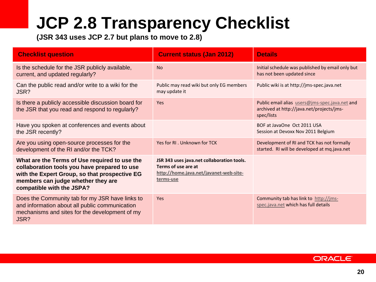# **JCP 2.8 Transparency Checklist**

**(JSR 343 uses JCP 2.7 but plans to move to 2.8)**

| <b>Checklist question</b>                                                                                                                                                                                         | <b>Current status (Jan 2012)</b>                                                                                         | <b>Details</b>                                                                                            |
|-------------------------------------------------------------------------------------------------------------------------------------------------------------------------------------------------------------------|--------------------------------------------------------------------------------------------------------------------------|-----------------------------------------------------------------------------------------------------------|
| Is the schedule for the JSR publicly available,<br>current, and updated regularly?                                                                                                                                | <b>No</b>                                                                                                                | Initial schedule was published by email only but<br>has not been updated since                            |
| Can the public read and/or write to a wiki for the<br>JSR?                                                                                                                                                        | Public may read wiki but only EG members<br>may update it                                                                | Public wiki is at http://jms-spec.java.net                                                                |
| Is there a publicly accessible discussion board for<br>the JSR that you read and respond to regularly?                                                                                                            | Yes                                                                                                                      | Public email alias users@jms-spec.java.net and<br>archived at http://java.net/projects/jms-<br>spec/lists |
| Have you spoken at conferences and events about<br>the JSR recently?                                                                                                                                              |                                                                                                                          | BOF at JavaOne Oct 2011 USA<br>Session at Devoxx Nov 2011 Belgium                                         |
| Are you using open-source processes for the<br>development of the RI and/or the TCK?                                                                                                                              | Yes for RL. Unknown for TCK                                                                                              | Development of RI and TCK has not formally<br>started. RI will be developed at mq.java.net                |
| What are the Terms of Use required to use the<br>collaboration tools you have prepared to use<br>with the Expert Group, so that prospective EG<br>members can judge whether they are<br>compatible with the JSPA? | JSR 343 uses java.net collaboration tools.<br>Terms of use are at<br>http://home.java.net/javanet-web-site-<br>terms-use |                                                                                                           |
| Does the Community tab for my JSR have links to<br>and information about all public communication<br>mechanisms and sites for the development of my<br>JSR?                                                       | Yes                                                                                                                      | Community tab has link to http://jms-<br>spec.java.net which has full details                             |